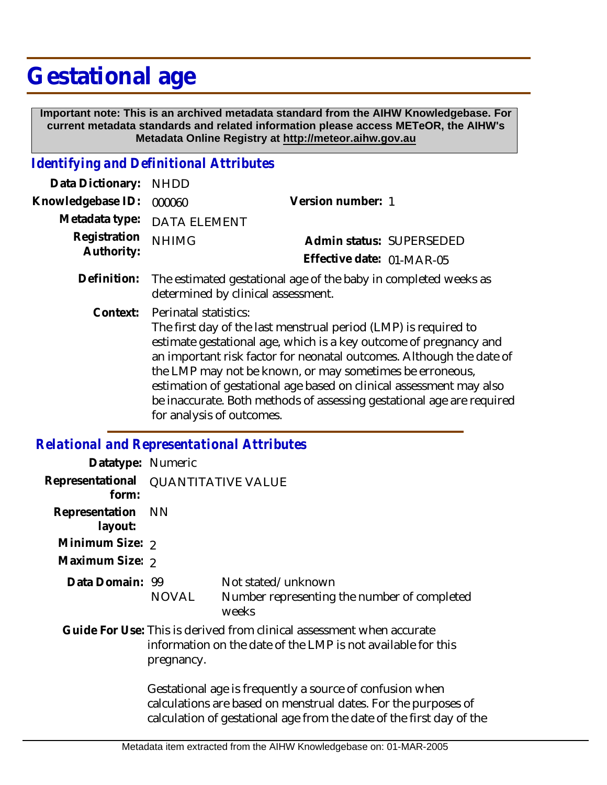## **Gestational age**

 **Important note: This is an archived metadata standard from the AIHW Knowledgebase. For current metadata standards and related information please access METeOR, the AIHW's Metadata Online Registry at http://meteor.aihw.gov.au**

## *Identifying and Definitional Attributes*

| Data Dictionary:           | <b>NHDD</b>                                                                                                                                                                                                                                                                                       |                           |
|----------------------------|---------------------------------------------------------------------------------------------------------------------------------------------------------------------------------------------------------------------------------------------------------------------------------------------------|---------------------------|
| Knowledgebase ID:          | 000060                                                                                                                                                                                                                                                                                            | Version number: 1         |
| Metadata type:             | <b>DATA ELEMENT</b>                                                                                                                                                                                                                                                                               |                           |
| Registration<br>Authority: | <b>NHIMG</b>                                                                                                                                                                                                                                                                                      | Admin status: SUPERSEDED  |
|                            |                                                                                                                                                                                                                                                                                                   | Effective date: 01-MAR-05 |
| Definition:                | The estimated gestational age of the baby in completed weeks as<br>determined by clinical assessment.                                                                                                                                                                                             |                           |
| Context:                   | Perinatal statistics:<br>The first day of the last menstrual period (LMP) is required to<br>estimate gestational age, which is a key outcome of pregnancy and<br>an important risk factor for neonatal outcomes. Although the date of<br>the LMP may not be known, or may sometimes be erroneous, |                           |

estimation of gestational age based on clinical assessment may also be inaccurate. Both methods of assessing gestational age are required for analysis of outcomes.

## *Relational and Representational Attributes*

| Datatype: Numeric         |                           |                                                                                                                                                                                                    |
|---------------------------|---------------------------|----------------------------------------------------------------------------------------------------------------------------------------------------------------------------------------------------|
| Representational<br>form: | <b>QUANTITATIVE VALUE</b> |                                                                                                                                                                                                    |
| Representation<br>layout: | NN.                       |                                                                                                                                                                                                    |
| Minimum Size: 2           |                           |                                                                                                                                                                                                    |
| Maximum Size: 2           |                           |                                                                                                                                                                                                    |
| Data Domain: 99           | NOVAL                     | Not stated/unknown<br>Number representing the number of completed<br>weeks                                                                                                                         |
|                           | pregnancy.                | Guide For Use: This is derived from clinical assessment when accurate<br>information on the date of the LMP is not available for this                                                              |
|                           |                           | Gestational age is frequently a source of confusion when<br>calculations are based on menstrual dates. For the purposes of<br>calculation of gestational age from the date of the first day of the |